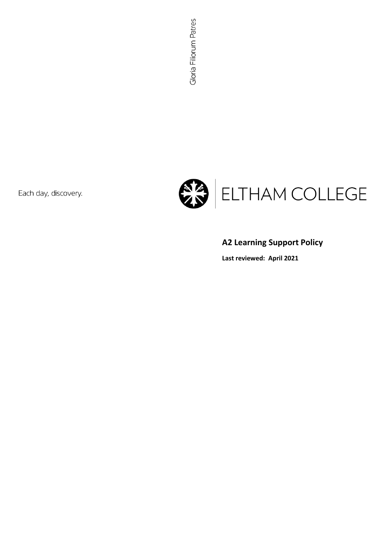Each day, discovery.



# **A2 Learning Support Policy**

**Last reviewed: April 2021**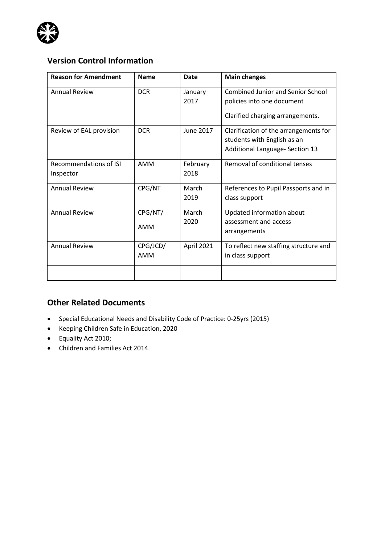

# **Version Control Information**

| <b>Reason for Amendment</b>         | <b>Name</b>     | Date             | <b>Main changes</b>                                                                                        |
|-------------------------------------|-----------------|------------------|------------------------------------------------------------------------------------------------------------|
| <b>Annual Review</b>                | <b>DCR</b>      | January<br>2017  | <b>Combined Junior and Senior School</b><br>policies into one document<br>Clarified charging arrangements. |
| Review of EAL provision             | <b>DCR</b>      | June 2017        | Clarification of the arrangements for<br>students with English as an<br>Additional Language- Section 13    |
| Recommendations of ISI<br>Inspector | AMM             | February<br>2018 | Removal of conditional tenses                                                                              |
| <b>Annual Review</b>                | CPG/NT          | March<br>2019    | References to Pupil Passports and in<br>class support                                                      |
| <b>Annual Review</b>                | CPG/NT/<br>AMM  | March<br>2020    | Updated information about<br>assessment and access<br>arrangements                                         |
| <b>Annual Review</b>                | CPG/JCD/<br>AMM | April 2021       | To reflect new staffing structure and<br>in class support                                                  |
|                                     |                 |                  |                                                                                                            |

## **Other Related Documents**

- Special Educational Needs and Disability Code of Practice: 0-25yrs (2015)
- Keeping Children Safe in Education, 2020
- Equality Act 2010;
- Children and Families Act 2014.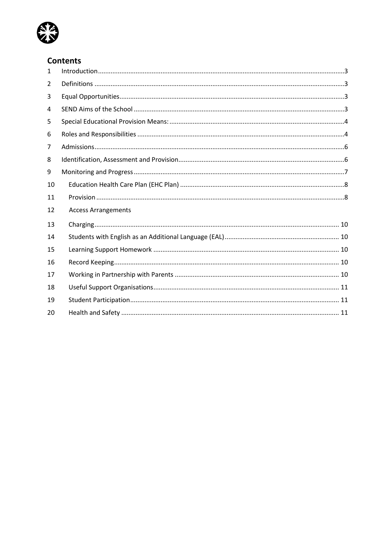

## **Contents**

| $\mathbf{1}$   |                            |
|----------------|----------------------------|
| $\overline{2}$ |                            |
| 3              |                            |
| 4              |                            |
| 5              |                            |
| 6              |                            |
| 7              |                            |
| 8              |                            |
| 9              |                            |
| 10             |                            |
| 11             |                            |
| 12             | <b>Access Arrangements</b> |
| 13             |                            |
| 14             |                            |
| 15             |                            |
| 16             |                            |
| 17             |                            |
| 18             |                            |
| 19             |                            |
| 20             |                            |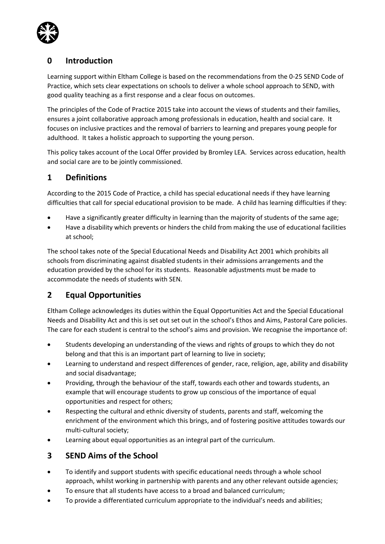

## <span id="page-3-0"></span>**0 Introduction**

Learning support within Eltham College is based on the recommendations from the 0-25 SEND Code of Practice, which sets clear expectations on schools to deliver a whole school approach to SEND, with good quality teaching as a first response and a clear focus on outcomes.

The principles of the Code of Practice 2015 take into account the views of students and their families, ensures a joint collaborative approach among professionals in education, health and social care. It focuses on inclusive practices and the removal of barriers to learning and prepares young people for adulthood. It takes a holistic approach to supporting the young person.

This policy takes account of the Local Offer provided by Bromley LEA. Services across education, health and social care are to be jointly commissioned.

### <span id="page-3-1"></span>**1 Definitions**

According to the 2015 Code of Practice, a child has special educational needs if they have learning difficulties that call for special educational provision to be made. A child has learning difficulties if they:

- Have a significantly greater difficulty in learning than the majority of students of the same age;
- Have a disability which prevents or hinders the child from making the use of educational facilities at school;

The school takes note of the Special Educational Needs and Disability Act 2001 which prohibits all schools from discriminating against disabled students in their admissions arrangements and the education provided by the school for its students. Reasonable adjustments must be made to accommodate the needs of students with SEN.

## <span id="page-3-2"></span>**2 Equal Opportunities**

Eltham College acknowledges its duties within the Equal Opportunities Act and the Special Educational Needs and Disability Act and this is set out set out in the school's Ethos and Aims, Pastoral Care policies. The care for each student is central to the school's aims and provision. We recognise the importance of:

- Students developing an understanding of the views and rights of groups to which they do not belong and that this is an important part of learning to live in society;
- Learning to understand and respect differences of gender, race, religion, age, ability and disability and social disadvantage;
- Providing, through the behaviour of the staff, towards each other and towards students, an example that will encourage students to grow up conscious of the importance of equal opportunities and respect for others;
- Respecting the cultural and ethnic diversity of students, parents and staff, welcoming the enrichment of the environment which this brings, and of fostering positive attitudes towards our multi-cultural society;
- Learning about equal opportunities as an integral part of the curriculum.

## <span id="page-3-3"></span>**3 SEND Aims of the School**

- To identify and support students with specific educational needs through a whole school approach, whilst working in partnership with parents and any other relevant outside agencies;
- To ensure that all students have access to a broad and balanced curriculum;
- To provide a differentiated curriculum appropriate to the individual's needs and abilities;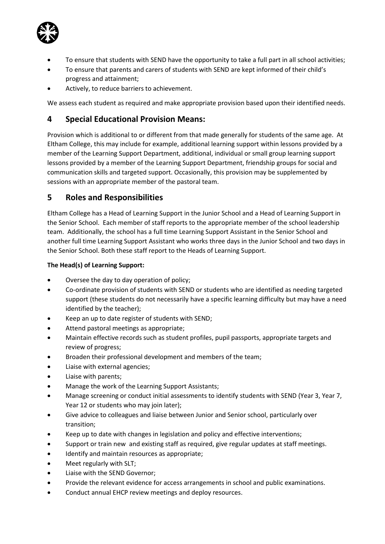

- To ensure that students with SEND have the opportunity to take a full part in all school activities;
- To ensure that parents and carers of students with SEND are kept informed of their child's progress and attainment;
- Actively, to reduce barriers to achievement.

We assess each student as required and make appropriate provision based upon their identified needs.

## <span id="page-4-0"></span>**4 Special Educational Provision Means:**

Provision which is additional to or different from that made generally for students of the same age. At Eltham College, this may include for example, additional learning support within lessons provided by a member of the Learning Support Department, additional, individual or small group learning support lessons provided by a member of the Learning Support Department, friendship groups for social and communication skills and targeted support. Occasionally, this provision may be supplemented by sessions with an appropriate member of the pastoral team.

### <span id="page-4-1"></span>**5 Roles and Responsibilities**

Eltham College has a Head of Learning Support in the Junior School and a Head of Learning Support in the Senior School. Each member of staff reports to the appropriate member of the school leadership team. Additionally, the school has a full time Learning Support Assistant in the Senior School and another full time Learning Support Assistant who works three days in the Junior School and two days in the Senior School. Both these staff report to the Heads of Learning Support.

#### **The Head(s) of Learning Support:**

- Oversee the day to day operation of policy;
- Co-ordinate provision of students with SEND or students who are identified as needing targeted support (these students do not necessarily have a specific learning difficulty but may have a need identified by the teacher);
- Keep an up to date register of students with SEND;
- Attend pastoral meetings as appropriate;
- Maintain effective records such as student profiles, pupil passports, appropriate targets and review of progress;
- Broaden their professional development and members of the team;
- Liaise with external agencies;
- Liaise with parents;
- Manage the work of the Learning Support Assistants;
- Manage screening or conduct initial assessments to identify students with SEND (Year 3, Year 7, Year 12 or students who may join later);
- Give advice to colleagues and liaise between Junior and Senior school, particularly over transition;
- Keep up to date with changes in legislation and policy and effective interventions;
- Support or train new and existing staff as required, give regular updates at staff meetings.
- Identify and maintain resources as appropriate;
- Meet regularly with SLT;
- Liaise with the SEND Governor:
- Provide the relevant evidence for access arrangements in school and public examinations.
- Conduct annual EHCP review meetings and deploy resources.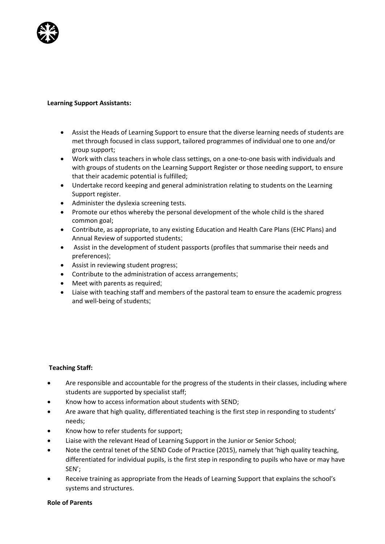

#### **Learning Support Assistants:**

- Assist the Heads of Learning Support to ensure that the diverse learning needs of students are met through focused in class support, tailored programmes of individual one to one and/or group support;
- Work with class teachers in whole class settings, on a one-to-one basis with individuals and with groups of students on the Learning Support Register or those needing support, to ensure that their academic potential is fulfilled;
- Undertake record keeping and general administration relating to students on the Learning Support register.
- Administer the dyslexia screening tests.
- Promote our ethos whereby the personal development of the whole child is the shared common goal;
- Contribute, as appropriate, to any existing Education and Health Care Plans (EHC Plans) and Annual Review of supported students;
- Assist in the development of student passports (profiles that summarise their needs and preferences);
- Assist in reviewing student progress;
- Contribute to the administration of access arrangements;
- Meet with parents as required;
- Liaise with teaching staff and members of the pastoral team to ensure the academic progress and well-being of students;

#### **Teaching Staff:**

- Are responsible and accountable for the progress of the students in their classes, including where students are supported by specialist staff;
- Know how to access information about students with SEND;
- Are aware that high quality, differentiated teaching is the first step in responding to students' needs;
- Know how to refer students for support;
- Liaise with the relevant Head of Learning Support in the Junior or Senior School;
- Note the central tenet of the SEND Code of Practice (2015), namely that 'high quality teaching, differentiated for individual pupils, is the first step in responding to pupils who have or may have SEN';
- Receive training as appropriate from the Heads of Learning Support that explains the school's systems and structures.

#### **Role of Parents**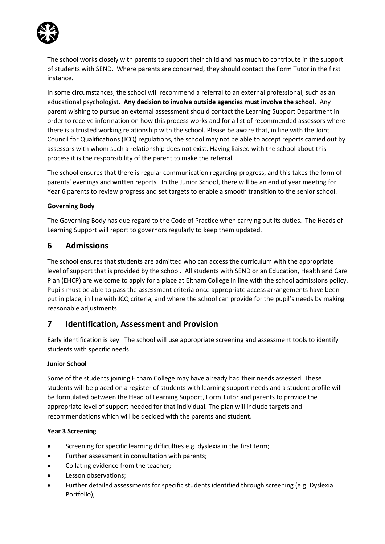

The school works closely with parents to support their child and has much to contribute in the support of students with SEND. Where parents are concerned, they should contact the Form Tutor in the first instance.

In some circumstances, the school will recommend a referral to an external professional, such as an educational psychologist. **Any decision to involve outside agencies must involve the school.** Any parent wishing to pursue an external assessment should contact the Learning Support Department in order to receive information on how this process works and for a list of recommended assessors where there is a trusted working relationship with the school. Please be aware that, in line with the Joint Council for Qualifications (JCQ) regulations, the school may not be able to accept reports carried out by assessors with whom such a relationship does not exist. Having liaised with the school about this process it is the responsibility of the parent to make the referral.

The school ensures that there is regular communication regarding progress, and this takes the form of parents' evenings and written reports. In the Junior School, there will be an end of year meeting for Year 6 parents to review progress and set targets to enable a smooth transition to the senior school.

#### **Governing Body**

The Governing Body has due regard to the Code of Practice when carrying out its duties. The Heads of Learning Support will report to governors regularly to keep them updated.

### <span id="page-6-0"></span>**6 Admissions**

The school ensures that students are admitted who can access the curriculum with the appropriate level of support that is provided by the school. All students with SEND or an Education, Health and Care Plan (EHCP) are welcome to apply for a place at Eltham College in line with the school admissions policy. Pupils must be able to pass the assessment criteria once appropriate access arrangements have been put in place, in line with JCQ criteria, and where the school can provide for the pupil's needs by making reasonable adjustments.

### <span id="page-6-1"></span>**7 Identification, Assessment and Provision**

Early identification is key. The school will use appropriate screening and assessment tools to identify students with specific needs.

#### **Junior School**

Some of the students joining Eltham College may have already had their needs assessed. These students will be placed on a register of students with learning support needs and a student profile will be formulated between the Head of Learning Support, Form Tutor and parents to provide the appropriate level of support needed for that individual. The plan will include targets and recommendations which will be decided with the parents and student.

#### **Year 3 Screening**

- Screening for specific learning difficulties e.g. dyslexia in the first term;
- Further assessment in consultation with parents;
- Collating evidence from the teacher;
- Lesson observations;
- Further detailed assessments for specific students identified through screening (e.g. Dyslexia Portfolio);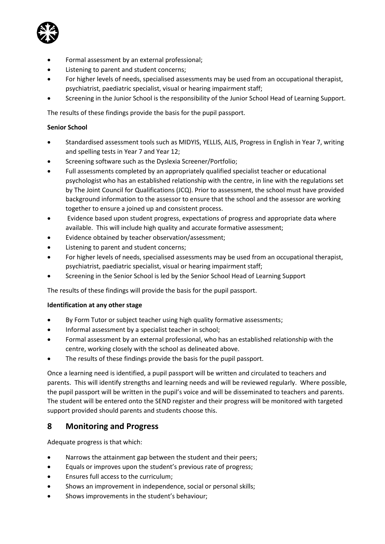

- Formal assessment by an external professional;
- Listening to parent and student concerns;
- For higher levels of needs, specialised assessments may be used from an occupational therapist, psychiatrist, paediatric specialist, visual or hearing impairment staff;
- Screening in the Junior School is the responsibility of the Junior School Head of Learning Support.

The results of these findings provide the basis for the pupil passport.

#### **Senior School**

- Standardised assessment tools such as MIDYIS, YELLIS, ALIS, Progress in English in Year 7, writing and spelling tests in Year 7 and Year 12;
- Screening software such as the Dyslexia Screener/Portfolio;
- Full assessments completed by an appropriately qualified specialist teacher or educational psychologist who has an established relationship with the centre, in line with the regulations set by The Joint Council for Qualifications (JCQ). Prior to assessment, the school must have provided background information to the assessor to ensure that the school and the assessor are working together to ensure a joined up and consistent process.
- Evidence based upon student progress, expectations of progress and appropriate data where available. This will include high quality and accurate formative assessment;
- Evidence obtained by teacher observation/assessment;
- Listening to parent and student concerns;
- For higher levels of needs, specialised assessments may be used from an occupational therapist, psychiatrist, paediatric specialist, visual or hearing impairment staff;
- Screening in the Senior School is led by the Senior School Head of Learning Support

The results of these findings will provide the basis for the pupil passport.

#### **Identification at any other stage**

- By Form Tutor or subject teacher using high quality formative assessments;
- Informal assessment by a specialist teacher in school;
- Formal assessment by an external professional, who has an established relationship with the centre, working closely with the school as delineated above.
- The results of these findings provide the basis for the pupil passport.

Once a learning need is identified, a pupil passport will be written and circulated to teachers and parents. This will identify strengths and learning needs and will be reviewed regularly. Where possible, the pupil passport will be written in the pupil's voice and will be disseminated to teachers and parents. The student will be entered onto the SEND register and their progress will be monitored with targeted support provided should parents and students choose this.

## <span id="page-7-0"></span>**8 Monitoring and Progress**

Adequate progress is that which:

- Narrows the attainment gap between the student and their peers;
- Equals or improves upon the student's previous rate of progress;
- Ensures full access to the curriculum;
- Shows an improvement in independence, social or personal skills;
- Shows improvements in the student's behaviour;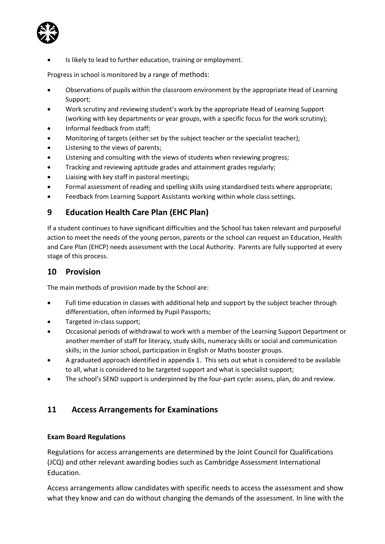Is likely to lead to further education, training or employment.

Progress in school is monitored by a range of methods:

- Observations of pupils within the classroom environment by the appropriate Head of Learning Support;
- Work scrutiny and reviewing student's work by the appropriate Head of Learning Support (working with key departments or year groups, with a specific focus for the work scrutiny);
- Informal feedback from staff;
- Monitoring of targets (either set by the subject teacher or the specialist teacher);
- Listening to the views of parents;
- Listening and consulting with the views of students when reviewing progress;
- Tracking and reviewing aptitude grades and attainment grades regularly;
- Liaising with key staff in pastoral meetings;
- Formal assessment of reading and spelling skills using standardised tests where appropriate;
- Feedback from Learning Support Assistants working within whole class settings.

### <span id="page-8-0"></span>**9 Education Health Care Plan (EHC Plan)**

If a student continues to have significant difficulties and the School has taken relevant and purposeful action to meet the needs of the young person, parents or the school can request an Education, Health and Care Plan (EHCP) needs assessment with the Local Authority. Parents are fully supported at every stage of this process.

### <span id="page-8-1"></span>**10 Provision**

The main methods of provision made by the School are:

- Full time education in classes with additional help and support by the subject teacher through differentiation, often informed by Pupil Passports;
- Targeted in-class support;
- Occasional periods of withdrawal to work with a member of the Learning Support Department or another member of staff for literacy, study skills, numeracy skills or social and communication skills; in the Junior school, participation in English or Maths booster groups.
- A graduated approach identified in appendix 1. This sets out what is considered to be available to all, what is considered to be targeted support and what is specialist support;
- The school's SEND support is underpinned by the four-part cycle: assess, plan, do and review.

### **11 Access Arrangements for Examinations**

#### **Exam Board Regulations**

Regulations for access arrangements are determined by the Joint Council for Qualifications (JCQ) and other relevant awarding bodies such as Cambridge Assessment International Education.

Access arrangements allow candidates with specific needs to access the assessment and show what they know and can do without changing the demands of the assessment. In line with the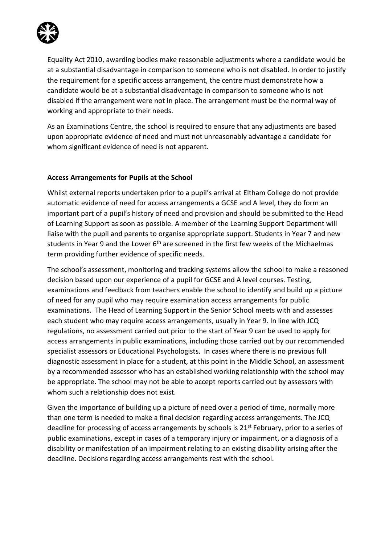

Equality Act 2010, awarding bodies make reasonable adjustments where a candidate would be at a substantial disadvantage in comparison to someone who is not disabled. In order to justify the requirement for a specific access arrangement, the centre must demonstrate how a candidate would be at a substantial disadvantage in comparison to someone who is not disabled if the arrangement were not in place. The arrangement must be the normal way of working and appropriate to their needs.

As an Examinations Centre, the school is required to ensure that any adjustments are based upon appropriate evidence of need and must not unreasonably advantage a candidate for whom significant evidence of need is not apparent.

#### **Access Arrangements for Pupils at the School**

Whilst external reports undertaken prior to a pupil's arrival at Eltham College do not provide automatic evidence of need for access arrangements a GCSE and A level, they do form an important part of a pupil's history of need and provision and should be submitted to the Head of Learning Support as soon as possible. A member of the Learning Support Department will liaise with the pupil and parents to organise appropriate support. Students in Year 7 and new students in Year 9 and the Lower  $6<sup>th</sup>$  are screened in the first few weeks of the Michaelmas term providing further evidence of specific needs.

The school's assessment, monitoring and tracking systems allow the school to make a reasoned decision based upon our experience of a pupil for GCSE and A level courses. Testing, examinations and feedback from teachers enable the school to identify and build up a picture of need for any pupil who may require examination access arrangements for public examinations. The Head of Learning Support in the Senior School meets with and assesses each student who may require access arrangements, usually in Year 9. In line with JCQ regulations, no assessment carried out prior to the start of Year 9 can be used to apply for access arrangements in public examinations, including those carried out by our recommended specialist assessors or Educational Psychologists. In cases where there is no previous full diagnostic assessment in place for a student, at this point in the Middle School, an assessment by a recommended assessor who has an established working relationship with the school may be appropriate. The school may not be able to accept reports carried out by assessors with whom such a relationship does not exist.

Given the importance of building up a picture of need over a period of time, normally more than one term is needed to make a final decision regarding access arrangements. The JCQ deadline for processing of access arrangements by schools is 21<sup>st</sup> February, prior to a series of public examinations, except in cases of a temporary injury or impairment, or a diagnosis of a disability or manifestation of an impairment relating to an existing disability arising after the deadline. Decisions regarding access arrangements rest with the school.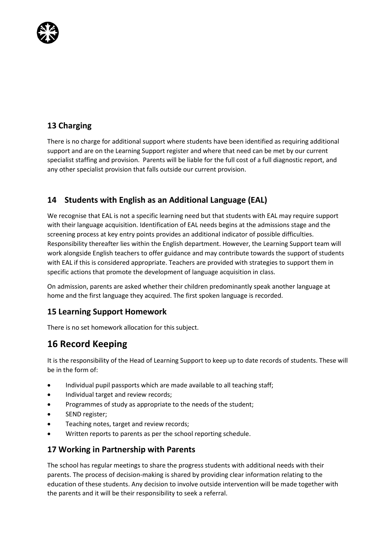

## <span id="page-10-0"></span>**13 Charging**

There is no charge for additional support where students have been identified as requiring additional support and are on the Learning Support register and where that need can be met by our current specialist staffing and provision. Parents will be liable for the full cost of a full diagnostic report, and any other specialist provision that falls outside our current provision.

## <span id="page-10-1"></span>**14 Students with English as an Additional Language (EAL)**

We recognise that EAL is not a specific learning need but that students with EAL may require support with their language acquisition. Identification of EAL needs begins at the admissions stage and the screening process at key entry points provides an additional indicator of possible difficulties. Responsibility thereafter lies within the English department. However, the Learning Support team will work alongside English teachers to offer guidance and may contribute towards the support of students with EAL if this is considered appropriate. Teachers are provided with strategies to support them in specific actions that promote the development of language acquisition in class.

On admission, parents are asked whether their children predominantly speak another language at home and the first language they acquired. The first spoken language is recorded.

## <span id="page-10-2"></span>**15 Learning Support Homework**

There is no set homework allocation for this subject.

## <span id="page-10-3"></span>**16 Record Keeping**

It is the responsibility of the Head of Learning Support to keep up to date records of students. These will be in the form of:

- Individual pupil passports which are made available to all teaching staff;
- Individual target and review records;
- Programmes of study as appropriate to the needs of the student;
- SEND register;
- Teaching notes, target and review records;
- Written reports to parents as per the school reporting schedule.

### <span id="page-10-4"></span>**17 Working in Partnership with Parents**

The school has regular meetings to share the progress students with additional needs with their parents. The process of decision-making is shared by providing clear information relating to the education of these students. Any decision to involve outside intervention will be made together with the parents and it will be their responsibility to seek a referral.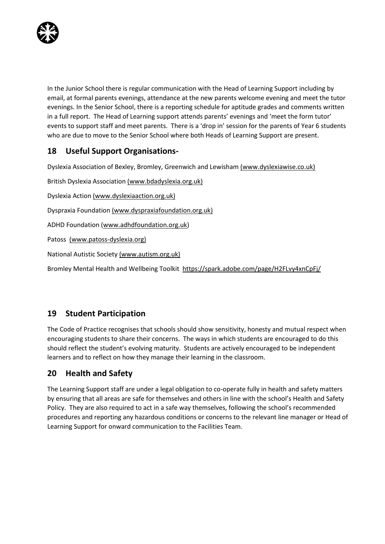

In the Junior School there is regular communication with the Head of Learning Support including by email, at formal parents evenings, attendance at the new parents welcome evening and meet the tutor evenings. In the Senior School, there is a reporting schedule for aptitude grades and comments written in a full report. The Head of Learning support attends parents' evenings and 'meet the form tutor' events to support staff and meet parents. There is a 'drop in' session for the parents of Year 6 students who are due to move to the Senior School where both Heads of Learning Support are present.

## <span id="page-11-0"></span>**18 Useful Support Organisations-**

Dyslexia Association of Bexley, Bromley, Greenwich and Lewisham [\(www.dyslexiawise.co.uk\)](http://www.dyslexiawise.co.uk/)

British Dyslexia Association [\(www.bdadyslexia.org.uk\)](http://www.bdadyslexia.org.uk/) Dyslexia Action [\(www.dyslexiaaction.org.uk\)](http://www.dyslexiaaction.org.uk/) Dyspraxia Foundation [\(www.dyspraxiafoundation.org.uk\)](http://www.dyspraxiafoundation.org.uk/) ADHD Foundation [\(www.adhdfoundation.org.uk\)](http://www.adhdfoundation.org.uk/) Patoss (www.patoss-dyslexia.org) National Autistic Society (www.autism.org.uk) Bromley Mental Health and Wellbeing Toolkit <https://spark.adobe.com/page/H2FLvy4xnCpFj/>

## <span id="page-11-1"></span>**19 Student Participation**

The Code of Practice recognises that schools should show sensitivity, honesty and mutual respect when encouraging students to share their concerns. The ways in which students are encouraged to do this should reflect the student's evolving maturity. Students are actively encouraged to be independent learners and to reflect on how they manage their learning in the classroom.

## <span id="page-11-2"></span>**20 Health and Safety**

The Learning Support staff are under a legal obligation to co-operate fully in health and safety matters by ensuring that all areas are safe for themselves and others in line with the school's Health and Safety Policy. They are also required to act in a safe way themselves, following the school's recommended procedures and reporting any hazardous conditions or concerns to the relevant line manager or Head of Learning Support for onward communication to the Facilities Team.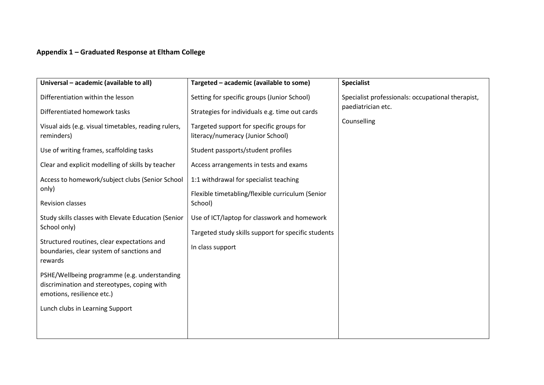### **Appendix 1 – Graduated Response at Eltham College**

| Universal - academic (available to all)                                                                                   | Targeted - academic (available to some)                                       | <b>Specialist</b>                                 |
|---------------------------------------------------------------------------------------------------------------------------|-------------------------------------------------------------------------------|---------------------------------------------------|
| Differentiation within the lesson                                                                                         | Setting for specific groups (Junior School)                                   | Specialist professionals: occupational therapist, |
| Differentiated homework tasks                                                                                             | Strategies for individuals e.g. time out cards                                | paediatrician etc.                                |
| Visual aids (e.g. visual timetables, reading rulers,<br>reminders)                                                        | Targeted support for specific groups for<br>literacy/numeracy (Junior School) | Counselling                                       |
| Use of writing frames, scaffolding tasks                                                                                  | Student passports/student profiles                                            |                                                   |
| Clear and explicit modelling of skills by teacher                                                                         | Access arrangements in tests and exams                                        |                                                   |
| Access to homework/subject clubs (Senior School                                                                           | 1:1 withdrawal for specialist teaching                                        |                                                   |
| only)                                                                                                                     | Flexible timetabling/flexible curriculum (Senior                              |                                                   |
| <b>Revision classes</b>                                                                                                   | School)                                                                       |                                                   |
| Study skills classes with Elevate Education (Senior                                                                       | Use of ICT/laptop for classwork and homework                                  |                                                   |
| School only)                                                                                                              | Targeted study skills support for specific students                           |                                                   |
| Structured routines, clear expectations and<br>boundaries, clear system of sanctions and<br>rewards                       | In class support                                                              |                                                   |
| PSHE/Wellbeing programme (e.g. understanding<br>discrimination and stereotypes, coping with<br>emotions, resilience etc.) |                                                                               |                                                   |
| Lunch clubs in Learning Support                                                                                           |                                                                               |                                                   |
|                                                                                                                           |                                                                               |                                                   |
|                                                                                                                           |                                                                               |                                                   |